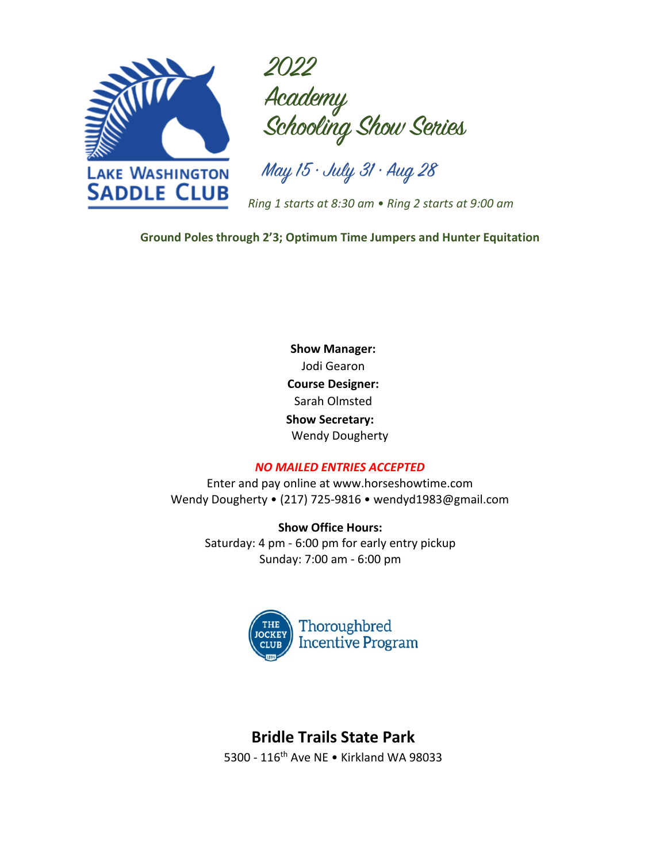

2022 Academy Schooling Show Series

May 15 • July 31 • Aug 28

*Ring 1 starts at 8:30 am • Ring 2 starts at 9:00 am*

**Ground Poles through 2'3; Optimum Time Jumpers and Hunter Equitation**

**Show Manager:** Jodi Gearon **Course Designer:** Sarah Olmsted  **Show Secretary:** Wendy Dougherty

### *NO MAILED ENTRIES ACCEPTED*

Enter and pay online at www.horseshowtime.com Wendy Dougherty • (217) 725-9816 • wendyd1983@gmail.com

**Show Office Hours:** Saturday: 4 pm - 6:00 pm for early entry pickup Sunday: 7:00 am - 6:00 pm



# **Bridle Trails State Park**

5300 - 116th Ave NE • Kirkland WA 98033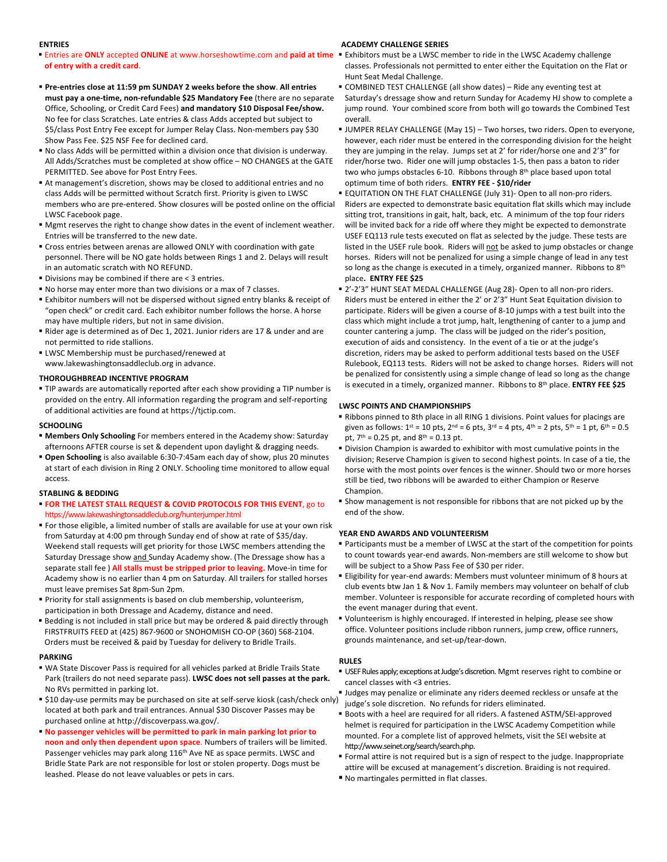#### **ENTRIES**

#### ■ Entries are ONLY accepted ONLINE at www.horseshowtime.com and paid at time ■ Exhibitors must be a LWSC member to ride in the LWSC Academy challenge **of entry with a credit card**.

- § **Pre-entries close at 11:59 pm SUNDAY 2 weeks before the show**. **All entries must pay a one-time, non-refundable \$25 Mandatory Fee** (there are no separate Office, Schooling, or Credit Card Fees) **and mandatory \$10 Disposal Fee/show.** No fee for class Scratches. Late entries & class Adds accepted but subject to \$5/class Post Entry Fee except for Jumper Relay Class. Non-members pay \$30 Show Pass Fee. \$25 NSF Fee for declined card.
- § No class Adds will be permitted within a division once that division is underway. All Adds/Scratches must be completed at show office – NO CHANGES at the GATE PERMITTED. See above for Post Entry Fees.
- § At management's discretion, shows may be closed to additional entries and no class Adds will be permitted without Scratch first. Priority is given to LWSC members who are pre-entered. Show closures will be posted online on the official LWSC Facebook page.
- § Mgmt reserves the right to change show dates in the event of inclement weather. Entries will be transferred to the new date.
- Cross entries between arenas are allowed ONLY with coordination with gate personnel. There will be NO gate holds between Rings 1 and 2. Delays will result in an automatic scratch with NO REFUND.
- § Divisions may be combined if there are < 3 entries.
- § No horse may enter more than two divisions or a max of 7 classes.
- Exhibitor numbers will not be dispersed without signed entry blanks & receipt of "open check" or credit card. Each exhibitor number follows the horse. A horse may have multiple riders, but not in same division.
- § Rider age is determined as of Dec 1, 2021. Junior riders are 17 & under and are not permitted to ride stallions.
- § LWSC Membership must be purchased/renewed at www.lakewashingtonsaddleclub.org in advance.

#### **THOROUGHBREAD INCENTIVE PROGRAM**

■ TIP awards are automatically reported after each show providing a TIP number is provided on the entry. All information regarding the program and self-reporting of additional activities are found at https://tjctip.com.

#### **SCHOOLING**

- § **Members Only Schooling** For members entered in the Academy show: Saturday afternoons AFTER course is set & dependent upon daylight & dragging needs.
- § **Open Schooling** is also available 6:30-7:45am each day of show, plus 20 minutes at start of each division in Ring 2 ONLY. Schooling time monitored to allow equal access.

#### **STABLING & BEDDING**

- § **FOR THE LATEST STALL REQUEST & COVID PROTOCOLS FOR THIS EVENT**, go to https://www.lakewashingtonsaddleclub.org/hunterjumper.html
- For those eligible, a limited number of stalls are available for use at your own risk from Saturday at 4:00 pm through Sunday end of show at rate of \$35/day. Weekend stall requests will get priority for those LWSC members attending the Saturday Dressage show and Sunday Academy show. (The Dressage show has a separate stall fee ) **All stalls must be stripped prior to leaving.** Move-in time for Academy show is no earlier than 4 pm on Saturday. All trailers for stalled horses must leave premises Sat 8pm-Sun 2pm.
- § Priority for stall assignments is based on club membership, volunteerism, participation in both Dressage and Academy, distance and need.
- Bedding is not included in stall price but may be ordered & paid directly through FIRSTFRUITS FEED at (425) 867-9600 or SNOHOMISH CO-OP (360) 568-2104. Orders must be received & paid by Tuesday for delivery to Bridle Trails.

#### **PARKING**

- WA State Discover Pass is required for all vehicles parked at Bridle Trails State Park (trailers do not need separate pass). **LWSC does not sell passes at the park.**  No RVs permitted in parking lot.
- \$10 day-use permits may be purchased on site at self-serve kiosk (cash/check only) judge's sole discretion. No refunds for riders eliminated. located at both park and trail entrances. Annual \$30 Discover Passes may be purchased online at http://discoverpass.wa.gov/.
- § **No passenger vehicles will be permitted to park in main parking lot prior to noon and only then dependent upon space**. Numbers of trailers will be limited. Passenger vehicles may park along 116<sup>th</sup> Ave NE as space permits. LWSC and Bridle State Park are not responsible for lost or stolen property. Dogs must be leashed. Please do not leave valuables or pets in cars.

#### **ACADEMY CHALLENGE SERIES**

- classes. Professionals not permitted to enter either the Equitation on the Flat or Hunt Seat Medal Challenge.
- § COMBINED TEST CHALLENGE (all show dates) Ride any eventing test at
- Saturday's dressage show and return Sunday for Academy HJ show to complete a jump round. Your combined score from both will go towards the Combined Test overall.
- JUMPER RELAY CHALLENGE (May 15) Two horses, two riders. Open to everyone, however, each rider must be entered in the corresponding division for the height they are jumping in the relay. Jumps set at 2' for rider/horse one and 2'3" for rider/horse two. Rider one will jump obstacles 1-5, then pass a baton to rider two who jumps obstacles 6-10. Ribbons through 8<sup>th</sup> place based upon total optimum time of both riders. **ENTRY FEE - \$10/rider**
- EQUITATION ON THE FLAT CHALLENGE (July 31)- Open to all non-pro riders. Riders are expected to demonstrate basic equitation flat skills which may include sitting trot, transitions in gait, halt, back, etc. A minimum of the top four riders will be invited back for a ride off where they might be expected to demonstrate USEF EQ113 rule tests executed on flat as selected by the judge. These tests are listed in the USEF rule book. Riders will not be asked to jump obstacles or change horses. Riders will not be penalized for using a simple change of lead in any test so long as the change is executed in a timely, organized manner. Ribbons to 8th place**. ENTRY FEE \$25**
- § 2'-2'3" HUNT SEAT MEDAL CHALLENGE (Aug 28)- Open to all non-pro riders. Riders must be entered in either the 2' or 2'3" Hunt Seat Equitation division to participate. Riders will be given a course of 8-10 jumps with a test built into the class which might include a trot jump, halt, lengthening of canter to a jump and counter cantering a jump. The class will be judged on the rider's position, execution of aids and consistency. In the event of a tie or at the judge's discretion, riders may be asked to perform additional tests based on the USEF Rulebook, EQ113 tests. Riders will not be asked to change horses. Riders will not be penalized for consistently using a simple change of lead so long as the change is executed in a timely, organized manner. Ribbons to 8<sup>th</sup> place. **ENTRY FEE \$25**

#### **LWSC POINTS AND CHAMPIONSHIPS**

- Ribbons pinned to 8th place in all RING 1 divisions. Point values for placings are given as follows:  $1^{st}$  = 10 pts,  $2^{nd}$  = 6 pts,  $3^{rd}$  = 4 pts,  $4^{th}$  = 2 pts,  $5^{th}$  = 1 pt,  $6^{th}$  = 0.5 pt,  $7^{th}$  = 0.25 pt, and  $8^{th}$  = 0.13 pt.
- Division Champion is awarded to exhibitor with most cumulative points in the division; Reserve Champion is given to second highest points. In case of a tie, the horse with the most points over fences is the winner. Should two or more horses still be tied, two ribbons will be awarded to either Champion or Reserve Champion.
- § Show management is not responsible for ribbons that are not picked up by the end of the show.

#### **YEAR END AWARDS AND VOLUNTEERISM**

- Participants must be a member of LWSC at the start of the competition for points to count towards year-end awards. Non-members are still welcome to show but will be subject to a Show Pass Fee of \$30 per rider.
- § Eligibility for year-end awards: Members must volunteer minimum of 8 hours at club events btw Jan 1 & Nov 1. Family members may volunteer on behalf of club member. Volunteer is responsible for accurate recording of completed hours with the event manager during that event.
- § Volunteerism is highly encouraged. If interested in helping, please see show office. Volunteer positions include ribbon runners, jump crew, office runners, grounds maintenance, and set-up/tear-down.

#### **RULES**

- USEF Rules apply; exceptions at Judge's discretion. Mgmt reserves right to combine or cancel classes with <3 entries.
- **•** Judges may penalize or eliminate any riders deemed reckless or unsafe at the
- Boots with a heel are required for all riders. A fastened ASTM/SEI-approved helmet is required for participation in the LWSC Academy Competition while mounted. For a complete list of approved helmets, visit the SEI website at http://www.seinet.org/search/search.php.
- Formal attire is not required but is a sign of respect to the judge. Inappropriate attire will be excused at management's discretion. Braiding is not required.
- § No martingales permitted in flat classes.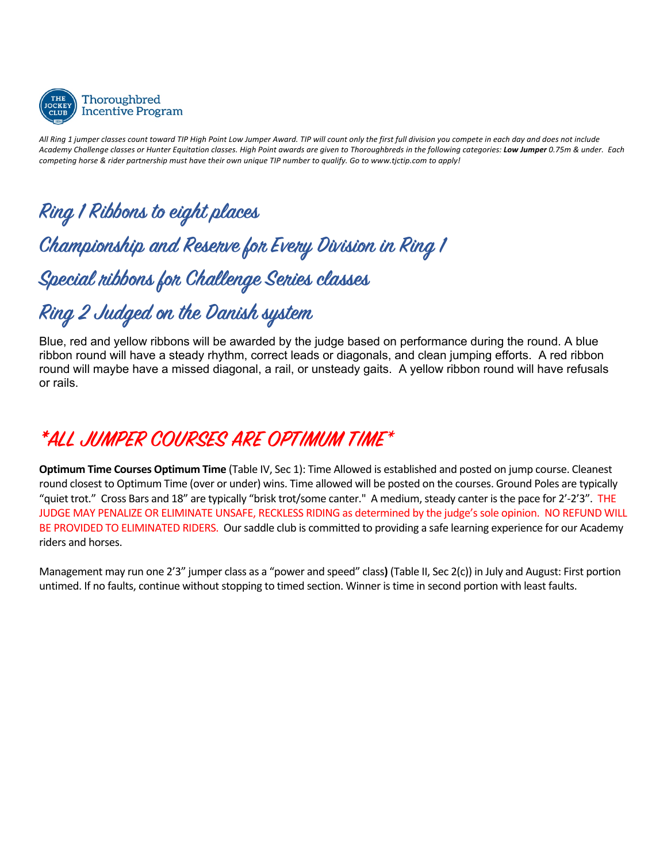

*All Ring 1 jumper classes count toward TIP High Point Low Jumper Award. TIP will count only the first full division you compete in each day and does not include Academy Challenge classes or Hunter Equitation classes. High Point awards are given to Thoroughbreds in the following categories: Low Jumper 0.75m & under. Each competing horse & rider partnership must have their own unique TIP number to qualify. Go to www.tjctip.com to apply!*

# **Ring 1 Ribbons to eight places Championship and Reserve for Every Division in Ring 1 Special ribbons for Challenge Series classes**

# **Ring 2 Judged on the Danish system**

Blue, red and yellow ribbons will be awarded by the judge based on performance during the round. A blue ribbon round will have a steady rhythm, correct leads or diagonals, and clean jumping efforts. A red ribbon round will maybe have a missed diagonal, a rail, or unsteady gaits. A yellow ribbon round will have refusals or rails.

# **\*ALL JUMPER COURSES ARE OPTIMUM TIME**\*

**Optimum Time Courses Optimum Time** (Table IV, Sec 1): Time Allowed is established and posted on jump course. Cleanest round closest to Optimum Time (over or under) wins. Time allowed will be posted on the courses. Ground Poles are typically "quiet trot." Cross Bars and 18" are typically "brisk trot/some canter." A medium, steady canter is the pace for 2'-2'3". THE JUDGE MAY PENALIZE OR ELIMINATE UNSAFE, RECKLESS RIDING as determined by the judge's sole opinion. NO REFUND WILL BE PROVIDED TO ELIMINATED RIDERS. Our saddle club is committed to providing a safe learning experience for our Academy riders and horses.

Management may run one 2'3" jumper class as a "power and speed" class**)** (Table II, Sec 2(c)) in July and August: First portion untimed. If no faults, continue without stopping to timed section. Winner is time in second portion with least faults.